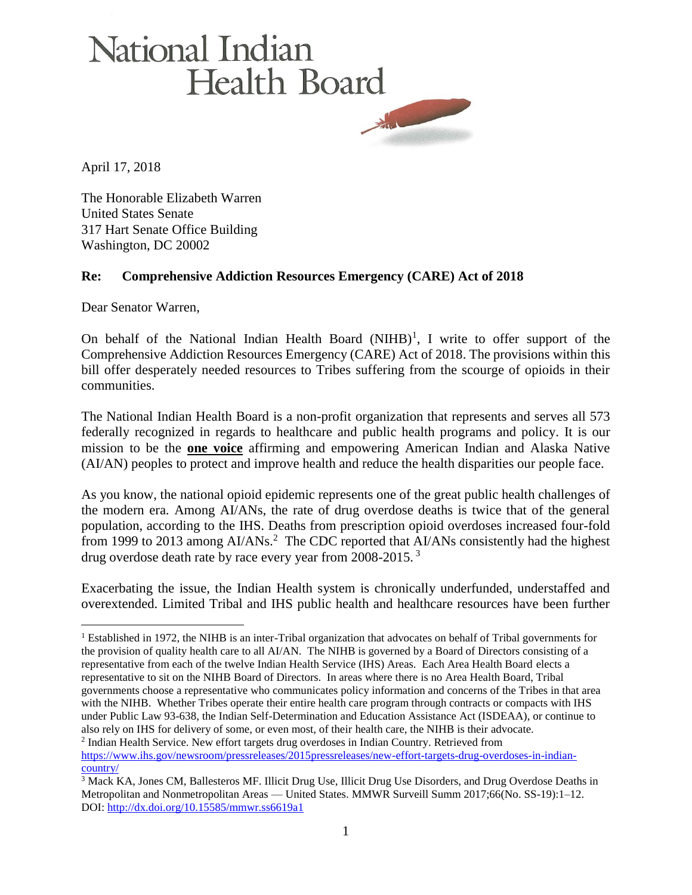## National Indian **Health Board**

April 17, 2018

The Honorable Elizabeth Warren United States Senate 317 Hart Senate Office Building Washington, DC 20002

## **Re: Comprehensive Addiction Resources Emergency (CARE) Act of 2018**

Dear Senator Warren,

 $\overline{a}$ 

On behalf of the National Indian Health Board  $(NIHB)^1$ , I write to offer support of the Comprehensive Addiction Resources Emergency (CARE) Act of 2018. The provisions within this bill offer desperately needed resources to Tribes suffering from the scourge of opioids in their communities.

The National Indian Health Board is a non-profit organization that represents and serves all 573 federally recognized in regards to healthcare and public health programs and policy. It is our mission to be the **one voice** affirming and empowering American Indian and Alaska Native (AI/AN) peoples to protect and improve health and reduce the health disparities our people face.

As you know, the national opioid epidemic represents one of the great public health challenges of the modern era. Among AI/ANs, the rate of drug overdose deaths is twice that of the general population, according to the IHS. Deaths from prescription opioid overdoses increased four-fold from 1999 to 2013 among  $AI/ANS$ <sup>2</sup> The CDC reported that  $AI/ANS$  consistently had the highest drug overdose death rate by race every year from 2008-2015.<sup>3</sup>

Exacerbating the issue, the Indian Health system is chronically underfunded, understaffed and overextended. Limited Tribal and IHS public health and healthcare resources have been further

<sup>&</sup>lt;sup>1</sup> Established in 1972, the NIHB is an inter-Tribal organization that advocates on behalf of Tribal governments for the provision of quality health care to all AI/AN. The NIHB is governed by a Board of Directors consisting of a representative from each of the twelve Indian Health Service (IHS) Areas. Each Area Health Board elects a representative to sit on the NIHB Board of Directors. In areas where there is no Area Health Board, Tribal governments choose a representative who communicates policy information and concerns of the Tribes in that area with the NIHB. Whether Tribes operate their entire health care program through contracts or compacts with IHS under Public Law 93-638, the Indian Self-Determination and Education Assistance Act (ISDEAA), or continue to also rely on IHS for delivery of some, or even most, of their health care, the NIHB is their advocate. <sup>2</sup> Indian Health Service. New effort targets drug overdoses in Indian Country. Retrieved from [https://www.ihs.gov/newsroom/pressreleases/2015pressreleases/new-effort-targets-drug-overdoses-in-indian](https://www.ihs.gov/newsroom/pressreleases/2015pressreleases/new-effort-targets-drug-overdoses-in-indian-country/)[country/](https://www.ihs.gov/newsroom/pressreleases/2015pressreleases/new-effort-targets-drug-overdoses-in-indian-country/)

<sup>3</sup> Mack KA, Jones CM, Ballesteros MF. Illicit Drug Use, Illicit Drug Use Disorders, and Drug Overdose Deaths in Metropolitan and Nonmetropolitan Areas — United States. MMWR Surveill Summ 2017;66(No. SS-19):1–12. DOI: <http://dx.doi.org/10.15585/mmwr.ss6619a1>